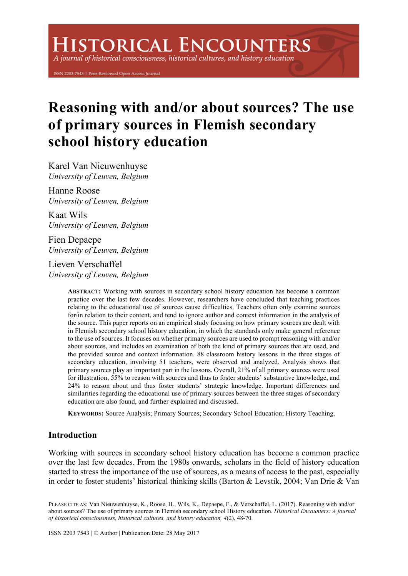# **HISTORICAL ENCOUNTERS**

A journal of historical consciousness, historical cultures, and history education

ISSN 2203-7543 | Peer-Reviewed Open Access Journal

# **Reasoning with and/or about sources? The use of primary sources in Flemish secondary school history education**

Karel Van Nieuwenhuyse *University of Leuven, Belgium*

Hanne Roose *University of Leuven, Belgium*

Kaat Wils *University of Leuven, Belgium*

Fien Depaepe *University of Leuven, Belgium*

Lieven Verschaffel *University of Leuven, Belgium*

> **ABSTRACT:** Working with sources in secondary school history education has become a common practice over the last few decades. However, researchers have concluded that teaching practices relating to the educational use of sources cause difficulties. Teachers often only examine sources for/in relation to their content, and tend to ignore author and context information in the analysis of the source. This paper reports on an empirical study focusing on how primary sources are dealt with in Flemish secondary school history education, in which the standards only make general reference to the use of sources. It focuses on whether primary sources are used to prompt reasoning with and/or about sources, and includes an examination of both the kind of primary sources that are used, and the provided source and context information. 88 classroom history lessons in the three stages of secondary education, involving 51 teachers, were observed and analyzed. Analysis shows that primary sources play an important part in the lessons. Overall, 21% of all primary sources were used for illustration, 55% to reason with sources and thus to foster students' substantive knowledge, and 24% to reason about and thus foster students' strategic knowledge. Important differences and similarities regarding the educational use of primary sources between the three stages of secondary education are also found, and further explained and discussed.

**KEYWORDS:** Source Analysis; Primary Sources; Secondary School Education; History Teaching.

# **Introduction**

Working with sources in secondary school history education has become a common practice over the last few decades. From the 1980s onwards, scholars in the field of history education started to stress the importance of the use of sources, as a means of access to the past, especially in order to foster students' historical thinking skills (Barton & Levstik, 2004; Van Drie & Van

PLEASE CITE AS: Van Nieuwenhuyse, K., Roose, H., Wils, K., Depaepe, F., & Verschaffel, L. (2017). Reasoning with and/or about sources? The use of primary sources in Flemish secondary school History education. *Historical Encounters: A journal of historical consciousness, historical cultures, and history education, 4*(2), 48-70.

ISSN 2203 7543 | © Author | Publication Date: 28 May 2017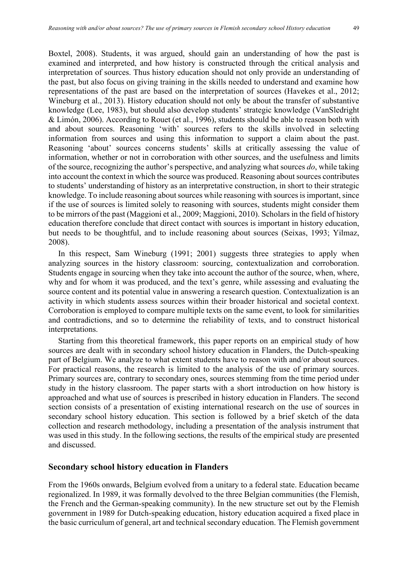Boxtel, 2008). Students, it was argued, should gain an understanding of how the past is examined and interpreted, and how history is constructed through the critical analysis and interpretation of sources. Thus history education should not only provide an understanding of the past, but also focus on giving training in the skills needed to understand and examine how representations of the past are based on the interpretation of sources (Havekes et al., 2012; Wineburg et al., 2013). History education should not only be about the transfer of substantive knowledge (Lee, 1983), but should also develop students' strategic knowledge (VanSledright & Limón, 2006). According to Rouet (et al., 1996), students should be able to reason both with and about sources. Reasoning 'with' sources refers to the skills involved in selecting information from sources and using this information to support a claim about the past. Reasoning 'about' sources concerns students' skills at critically assessing the value of information, whether or not in corroboration with other sources, and the usefulness and limits of the source, recognizing the author's perspective, and analyzing what sources *do*, while taking into account the context in which the source was produced. Reasoning about sources contributes to students' understanding of history as an interpretative construction, in short to their strategic knowledge. To include reasoning about sources while reasoning with sources is important, since if the use of sources is limited solely to reasoning with sources, students might consider them to be mirrors of the past (Maggioni et al., 2009; Maggioni, 2010). Scholars in the field of history education therefore conclude that direct contact with sources is important in history education, but needs to be thoughtful, and to include reasoning about sources (Seixas, 1993; Yilmaz, 2008).

In this respect, Sam Wineburg (1991; 2001) suggests three strategies to apply when analyzing sources in the history classroom: sourcing, contextualization and corroboration. Students engage in sourcing when they take into account the author of the source, when, where, why and for whom it was produced, and the text's genre, while assessing and evaluating the source content and its potential value in answering a research question. Contextualization is an activity in which students assess sources within their broader historical and societal context. Corroboration is employed to compare multiple texts on the same event, to look for similarities and contradictions, and so to determine the reliability of texts, and to construct historical interpretations.

Starting from this theoretical framework, this paper reports on an empirical study of how sources are dealt with in secondary school history education in Flanders, the Dutch-speaking part of Belgium. We analyze to what extent students have to reason with and/or about sources. For practical reasons, the research is limited to the analysis of the use of primary sources. Primary sources are, contrary to secondary ones, sources stemming from the time period under study in the history classroom. The paper starts with a short introduction on how history is approached and what use of sources is prescribed in history education in Flanders. The second section consists of a presentation of existing international research on the use of sources in secondary school history education. This section is followed by a brief sketch of the data collection and research methodology, including a presentation of the analysis instrument that was used in this study. In the following sections, the results of the empirical study are presented and discussed.

#### **Secondary school history education in Flanders**

From the 1960s onwards, Belgium evolved from a unitary to a federal state. Education became regionalized. In 1989, it was formally devolved to the three Belgian communities (the Flemish, the French and the German-speaking community). In the new structure set out by the Flemish government in 1989 for Dutch-speaking education, history education acquired a fixed place in the basic curriculum of general, art and technical secondary education. The Flemish government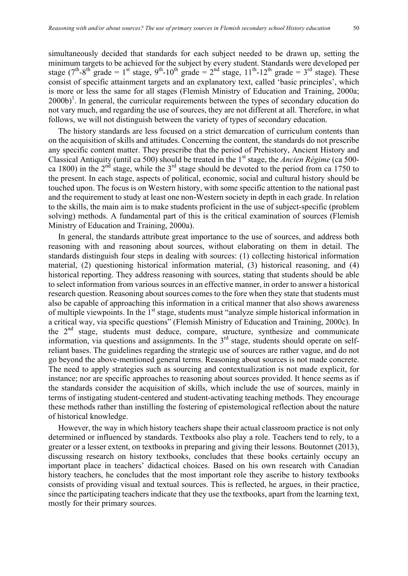simultaneously decided that standards for each subject needed to be drawn up, setting the minimum targets to be achieved for the subject by every student. Standards were developed per stage (7<sup>th</sup>-8<sup>th</sup> grade = 1<sup>st</sup> stage, 9<sup>th</sup>-10<sup>th</sup> grade =  $2<sup>nd</sup>$  stage, 11<sup>th</sup>-12<sup>th</sup> grade = 3<sup>rd</sup> stage). These consist of specific attainment targets and an explanatory text, called 'basic principles', which is more or less the same for all stages (Flemish Ministry of Education and Training, 2000a;  $(2000b)^1$ . In general, the curricular requirements between the types of secondary education do not vary much, and regarding the use of sources, they are not different at all. Therefore, in what follows, we will not distinguish between the variety of types of secondary education.

The history standards are less focused on a strict demarcation of curriculum contents than on the acquisition of skills and attitudes. Concerning the content, the standards do not prescribe any specific content matter. They prescribe that the period of Prehistory, Ancient History and Classical Antiquity (until ca 500) should be treated in the 1<sup>st</sup> stage, the *Ancien Régime* (ca 500ca 1800) in the  $2<sup>nd</sup>$  stage, while the  $3<sup>rd</sup>$  stage should be devoted to the period from ca 1750 to the present. In each stage, aspects of political, economic, social and cultural history should be touched upon. The focus is on Western history, with some specific attention to the national past and the requirement to study at least one non-Western society in depth in each grade. In relation to the skills, the main aim is to make students proficient in the use of subject-specific (problem solving) methods. A fundamental part of this is the critical examination of sources (Flemish Ministry of Education and Training, 2000a).

In general, the standards attribute great importance to the use of sources, and address both reasoning with and reasoning about sources, without elaborating on them in detail. The standards distinguish four steps in dealing with sources: (1) collecting historical information material, (2) questioning historical information material, (3) historical reasoning, and (4) historical reporting. They address reasoning with sources, stating that students should be able to select information from various sources in an effective manner, in order to answer a historical research question. Reasoning about sources comes to the fore when they state that students must also be capable of approaching this information in a critical manner that also shows awareness of multiple viewpoints. In the 1<sup>st</sup> stage, students must "analyze simple historical information in a critical way, via specific questions" (Flemish Ministry of Education and Training, 2000c). In the  $2<sup>nd</sup>$  stage, students must deduce, compare, structure, synthesize and communicate information, via questions and assignments. In the  $3<sup>rd</sup>$  stage, students should operate on selfreliant bases. The guidelines regarding the strategic use of sources are rather vague, and do not go beyond the above-mentioned general terms. Reasoning about sources is not made concrete. The need to apply strategies such as sourcing and contextualization is not made explicit, for instance; nor are specific approaches to reasoning about sources provided. It hence seems as if the standards consider the acquisition of skills, which include the use of sources, mainly in terms of instigating student-centered and student-activating teaching methods. They encourage these methods rather than instilling the fostering of epistemological reflection about the nature of historical knowledge.

However, the way in which history teachers shape their actual classroom practice is not only determined or influenced by standards. Textbooks also play a role. Teachers tend to rely, to a greater or a lesser extent, on textbooks in preparing and giving their lessons. Boutonnet (2013), discussing research on history textbooks, concludes that these books certainly occupy an important place in teachers' didactical choices. Based on his own research with Canadian history teachers, he concludes that the most important role they ascribe to history textbooks consists of providing visual and textual sources. This is reflected, he argues, in their practice, since the participating teachers indicate that they use the textbooks, apart from the learning text, mostly for their primary sources.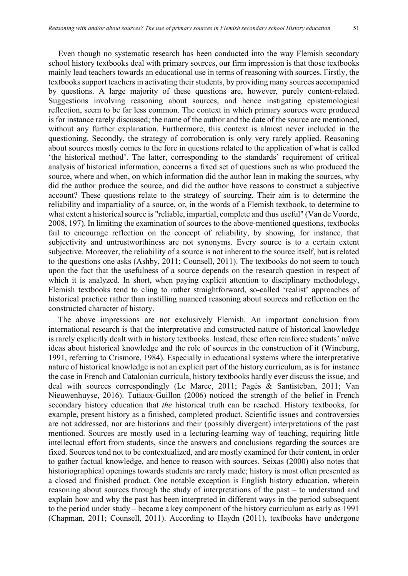Even though no systematic research has been conducted into the way Flemish secondary school history textbooks deal with primary sources, our firm impression is that those textbooks mainly lead teachers towards an educational use in terms of reasoning with sources. Firstly, the textbooks support teachers in activating their students, by providing many sources accompanied by questions. A large majority of these questions are, however, purely content-related. Suggestions involving reasoning about sources, and hence instigating epistemological reflection, seem to be far less common. The context in which primary sources were produced is for instance rarely discussed; the name of the author and the date of the source are mentioned, without any further explanation. Furthermore, this context is almost never included in the questioning. Secondly, the strategy of corroboration is only very rarely applied. Reasoning about sources mostly comes to the fore in questions related to the application of what is called 'the historical method'. The latter, corresponding to the standards' requirement of critical analysis of historical information, concerns a fixed set of questions such as who produced the source, where and when, on which information did the author lean in making the sources, why did the author produce the source, and did the author have reasons to construct a subjective account? These questions relate to the strategy of sourcing. Their aim is to determine the reliability and impartiality of a source, or, in the words of a Flemish textbook, to determine to what extent a historical source is "reliable, impartial, complete and thus useful" (Van de Voorde, 2008, 197). In limiting the examination of sources to the above-mentioned questions, textbooks fail to encourage reflection on the concept of reliability, by showing, for instance, that subjectivity and untrustworthiness are not synonyms. Every source is to a certain extent subjective. Moreover, the reliability of a source is not inherent to the source itself, but is related to the questions one asks (Ashby, 2011; Counsell, 2011). The textbooks do not seem to touch upon the fact that the usefulness of a source depends on the research question in respect of which it is analyzed. In short, when paying explicit attention to disciplinary methodology, Flemish textbooks tend to cling to rather straightforward, so-called 'realist' approaches of historical practice rather than instilling nuanced reasoning about sources and reflection on the constructed character of history.

The above impressions are not exclusively Flemish. An important conclusion from international research is that the interpretative and constructed nature of historical knowledge is rarely explicitly dealt with in history textbooks. Instead, these often reinforce students' naïve ideas about historical knowledge and the role of sources in the construction of it (Wineburg, 1991, referring to Crismore, 1984). Especially in educational systems where the interpretative nature of historical knowledge is not an explicit part of the history curriculum, as is for instance the case in French and Catalonian curricula, history textbooks hardly ever discuss the issue, and deal with sources correspondingly (Le Marec, 2011; Pagès & Santisteban, 2011; Van Nieuwenhuyse, 2016). Tutiaux-Guillon (2006) noticed the strength of the belief in French secondary history education that *the* historical truth can be reached. History textbooks, for example, present history as a finished, completed product. Scientific issues and controversies are not addressed, nor are historians and their (possibly divergent) interpretations of the past mentioned. Sources are mostly used in a lecturing-learning way of teaching, requiring little intellectual effort from students, since the answers and conclusions regarding the sources are fixed. Sources tend not to be contextualized, and are mostly examined for their content, in order to gather factual knowledge, and hence to reason with sources. Seixas (2000) also notes that historiographical openings towards students are rarely made; history is most often presented as a closed and finished product. One notable exception is English history education, wherein reasoning about sources through the study of interpretations of the past – to understand and explain how and why the past has been interpreted in different ways in the period subsequent to the period under study – became a key component of the history curriculum as early as 1991 (Chapman, 2011; Counsell, 2011). According to Haydn (2011), textbooks have undergone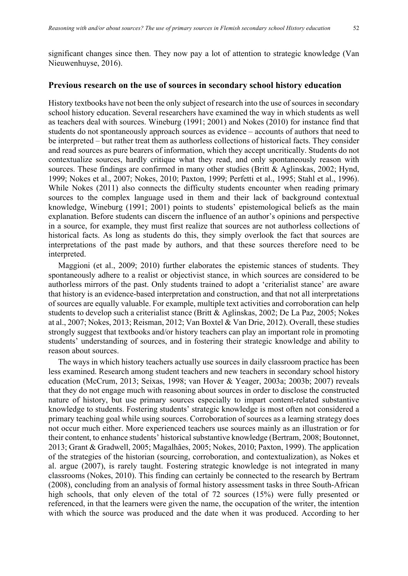significant changes since then. They now pay a lot of attention to strategic knowledge (Van Nieuwenhuyse, 2016).

#### **Previous research on the use of sources in secondary school history education**

History textbooks have not been the only subject of research into the use of sources in secondary school history education. Several researchers have examined the way in which students as well as teachers deal with sources. Wineburg (1991; 2001) and Nokes (2010) for instance find that students do not spontaneously approach sources as evidence – accounts of authors that need to be interpreted – but rather treat them as authorless collections of historical facts. They consider and read sources as pure bearers of information, which they accept uncritically. Students do not contextualize sources, hardly critique what they read, and only spontaneously reason with sources. These findings are confirmed in many other studies (Britt & Aglinskas, 2002; Hynd, 1999; Nokes et al., 2007; Nokes, 2010; Paxton, 1999; Perfetti et al., 1995; Stahl et al., 1996). While Nokes (2011) also connects the difficulty students encounter when reading primary sources to the complex language used in them and their lack of background contextual knowledge, Wineburg (1991; 2001) points to students' epistemological beliefs as the main explanation. Before students can discern the influence of an author's opinions and perspective in a source, for example, they must first realize that sources are not authorless collections of historical facts. As long as students do this, they simply overlook the fact that sources are interpretations of the past made by authors, and that these sources therefore need to be interpreted.

Maggioni (et al., 2009; 2010) further elaborates the epistemic stances of students. They spontaneously adhere to a realist or objectivist stance, in which sources are considered to be authorless mirrors of the past. Only students trained to adopt a 'criterialist stance' are aware that history is an evidence-based interpretation and construction, and that not all interpretations of sources are equally valuable. For example, multiple text activities and corroboration can help students to develop such a criterialist stance (Britt & Aglinskas, 2002; De La Paz, 2005; Nokes at al., 2007; Nokes, 2013; Reisman, 2012; Van Boxtel & Van Drie, 2012). Overall, these studies strongly suggest that textbooks and/or history teachers can play an important role in promoting students' understanding of sources, and in fostering their strategic knowledge and ability to reason about sources.

The ways in which history teachers actually use sources in daily classroom practice has been less examined. Research among student teachers and new teachers in secondary school history education (McCrum, 2013; Seixas, 1998; van Hover & Yeager, 2003a; 2003b; 2007) reveals that they do not engage much with reasoning about sources in order to disclose the constructed nature of history, but use primary sources especially to impart content-related substantive knowledge to students. Fostering students' strategic knowledge is most often not considered a primary teaching goal while using sources. Corroboration of sources as a learning strategy does not occur much either. More experienced teachers use sources mainly as an illustration or for their content, to enhance students' historical substantive knowledge (Bertram, 2008; Boutonnet, 2013; Grant & Gradwell, 2005; Magalhães, 2005; Nokes, 2010; Paxton, 1999). The application of the strategies of the historian (sourcing, corroboration, and contextualization), as Nokes et al. argue (2007), is rarely taught. Fostering strategic knowledge is not integrated in many classrooms (Nokes, 2010). This finding can certainly be connected to the research by Bertram (2008), concluding from an analysis of formal history assessment tasks in three South-African high schools, that only eleven of the total of 72 sources (15%) were fully presented or referenced, in that the learners were given the name, the occupation of the writer, the intention with which the source was produced and the date when it was produced. According to her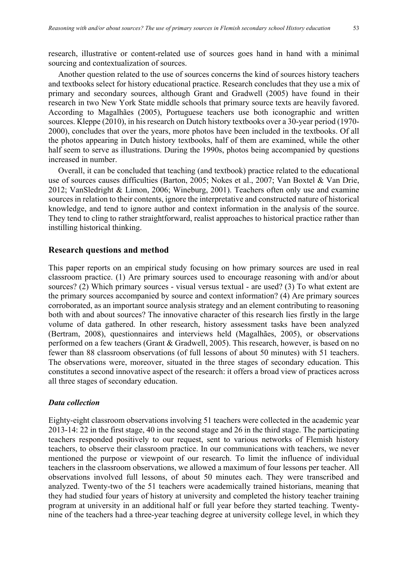research, illustrative or content-related use of sources goes hand in hand with a minimal sourcing and contextualization of sources.

Another question related to the use of sources concerns the kind of sources history teachers and textbooks select for history educational practice. Research concludes that they use a mix of primary and secondary sources, although Grant and Gradwell (2005) have found in their research in two New York State middle schools that primary source texts are heavily favored. According to Magalhães (2005), Portuguese teachers use both iconographic and written sources. Kleppe (2010), in his research on Dutch history textbooks over a 30-year period (1970- 2000), concludes that over the years, more photos have been included in the textbooks. Of all the photos appearing in Dutch history textbooks, half of them are examined, while the other half seem to serve as illustrations. During the 1990s, photos being accompanied by questions increased in number.

Overall, it can be concluded that teaching (and textbook) practice related to the educational use of sources causes difficulties (Barton, 2005; Nokes et al., 2007; Van Boxtel & Van Drie, 2012; VanSledright & Limon, 2006; Wineburg, 2001). Teachers often only use and examine sources in relation to their contents, ignore the interpretative and constructed nature of historical knowledge, and tend to ignore author and context information in the analysis of the source. They tend to cling to rather straightforward, realist approaches to historical practice rather than instilling historical thinking.

#### **Research questions and method**

This paper reports on an empirical study focusing on how primary sources are used in real classroom practice. (1) Are primary sources used to encourage reasoning with and/or about sources? (2) Which primary sources - visual versus textual - are used? (3) To what extent are the primary sources accompanied by source and context information? (4) Are primary sources corroborated, as an important source analysis strategy and an element contributing to reasoning both with and about sources? The innovative character of this research lies firstly in the large volume of data gathered. In other research, history assessment tasks have been analyzed (Bertram, 2008), questionnaires and interviews held (Magalhães, 2005), or observations performed on a few teachers (Grant & Gradwell, 2005). This research, however, is based on no fewer than 88 classroom observations (of full lessons of about 50 minutes) with 51 teachers. The observations were, moreover, situated in the three stages of secondary education. This constitutes a second innovative aspect of the research: it offers a broad view of practices across all three stages of secondary education.

#### *Data collection*

Eighty-eight classroom observations involving 51 teachers were collected in the academic year 2013-14: 22 in the first stage, 40 in the second stage and 26 in the third stage. The participating teachers responded positively to our request, sent to various networks of Flemish history teachers, to observe their classroom practice. In our communications with teachers, we never mentioned the purpose or viewpoint of our research. To limit the influence of individual teachers in the classroom observations, we allowed a maximum of four lessons per teacher. All observations involved full lessons, of about 50 minutes each. They were transcribed and analyzed. Twenty-two of the 51 teachers were academically trained historians, meaning that they had studied four years of history at university and completed the history teacher training program at university in an additional half or full year before they started teaching. Twentynine of the teachers had a three-year teaching degree at university college level, in which they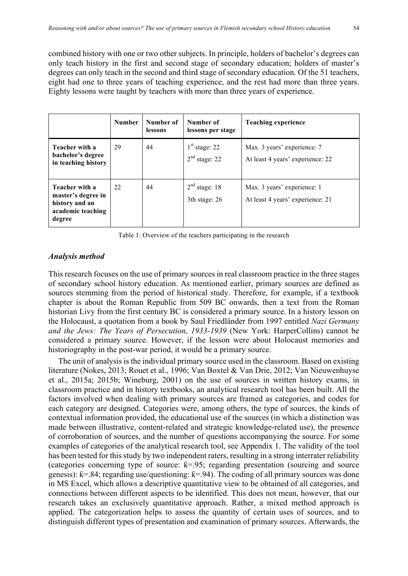combined history with one or two other subjects. In principle, holders of bachelor's degrees can only teach history in the first and second stage of secondary education; holders of master's degrees can only teach in the second and third stage of secondary education. Of the 51 teachers, eight had one to three years of teaching experience, and the rest had more than three years. Eighty lessons were taught by teachers with more than three years of experience.

|                                                                                       | <b>Number</b> | Number of<br>lessons | Number of<br>lessons per stage               | <b>Teaching experience</b>                                      |
|---------------------------------------------------------------------------------------|---------------|----------------------|----------------------------------------------|-----------------------------------------------------------------|
| Teacher with a<br>bachelor's degree<br>in teaching history                            | 29            | 44                   | $1st$ stage: 22<br>2 <sup>nd</sup> stage: 22 | Max. 3 years' experience: 7<br>At least 4 years' experience: 22 |
| Teacher with a<br>master's degree in<br>history and an<br>academic teaching<br>degree | 22            | 44                   | $2nd$ stage: 18<br>3th stage: 26             | Max. 3 years' experience: 1<br>At least 4 years' experience: 21 |

Table 1: Overview of the teachers participating in the research

#### *Analysis method*

This research focuses on the use of primary sources in real classroom practice in the three stages of secondary school history education. As mentioned earlier, primary sources are defined as sources stemming from the period of historical study. Therefore, for example, if a textbook chapter is about the Roman Republic from 509 BC onwards, then a text from the Roman historian Livy from the first century BC is considered a primary source. In a history lesson on the Holocaust, a quotation from a book by Saul Friedländer from 1997 entitled *Nazi Germany and the Jews: The Years of Persecution, 1933-1939* (New York: HarperCollins) cannot be considered a primary source. However, if the lesson were about Holocaust memories and historiography in the post-war period, it would be a primary source.

The unit of analysis is the individual primary source used in the classroom. Based on existing literature (Nokes, 2013; Rouet et al., 1996; Van Boxtel & Van Drie, 2012; Van Nieuwenhuyse et al., 2015a; 2015b; Wineburg, 2001) on the use of sources in written history exams, in classroom practice and in history textbooks, an analytical research tool has been built. All the factors involved when dealing with primary sources are framed as categories, and codes for each category are designed. Categories were, among others, the type of sources, the kinds of contextual information provided, the educational use of the sources (in which a distinction was made between illustrative, content-related and strategic knowledge-related use), the presence of corroboration of sources, and the number of questions accompanying the source. For some examples of categories of the analytical research tool, see Appendix 1. The validity of the tool has been tested for this study by two independent raters, resulting in a strong interrater reliability (categories concerning type of source:  $k=0.95$ ; regarding presentation (sourcing and source genesis):  $k = 84$ ; regarding use/questioning:  $k = 94$ ). The coding of all primary sources was done in MS Excel, which allows a descriptive quantitative view to be obtained of all categories, and connections between different aspects to be identified. This does not mean, however, that our research takes an exclusively quantitative approach. Rather, a mixed method approach is applied. The categorization helps to assess the quantity of certain uses of sources, and to distinguish different types of presentation and examination of primary sources. Afterwards, the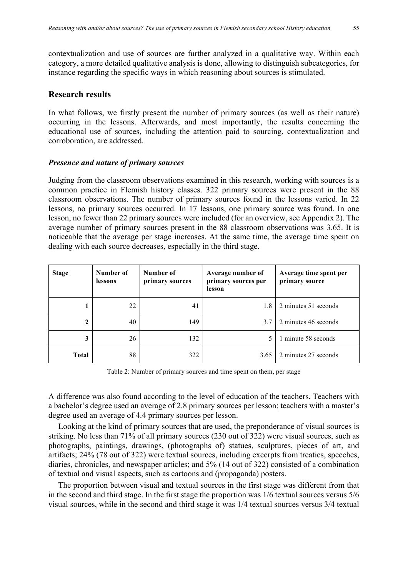contextualization and use of sources are further analyzed in a qualitative way. Within each category, a more detailed qualitative analysis is done, allowing to distinguish subcategories, for instance regarding the specific ways in which reasoning about sources is stimulated.

### **Research results**

In what follows, we firstly present the number of primary sources (as well as their nature) occurring in the lessons. Afterwards, and most importantly, the results concerning the educational use of sources, including the attention paid to sourcing, contextualization and corroboration, are addressed.

#### *Presence and nature of primary sources*

Judging from the classroom observations examined in this research, working with sources is a common practice in Flemish history classes. 322 primary sources were present in the 88 classroom observations. The number of primary sources found in the lessons varied. In 22 lessons, no primary sources occurred. In 17 lessons, one primary source was found. In one lesson, no fewer than 22 primary sources were included (for an overview, see Appendix 2). The average number of primary sources present in the 88 classroom observations was 3.65. It is noticeable that the average per stage increases. At the same time, the average time spent on dealing with each source decreases, especially in the third stage.

| <b>Stage</b> | Number of<br>lessons | Number of<br>primary sources | Average number of<br>primary sources per<br>lesson | Average time spent per<br>primary source |
|--------------|----------------------|------------------------------|----------------------------------------------------|------------------------------------------|
|              | 22                   | 41                           | 1.8                                                | 2 minutes 51 seconds                     |
|              | 40                   | 149                          | 3.7                                                | 2 minutes 46 seconds                     |
| 3            | 26                   | 132                          |                                                    | 1 minute 58 seconds                      |
| Total        | 88                   | 322                          | 3.65                                               | 2 minutes 27 seconds                     |

Table 2: Number of primary sources and time spent on them, per stage

A difference was also found according to the level of education of the teachers. Teachers with a bachelor's degree used an average of 2.8 primary sources per lesson; teachers with a master's degree used an average of 4.4 primary sources per lesson.

Looking at the kind of primary sources that are used, the preponderance of visual sources is striking. No less than 71% of all primary sources (230 out of 322) were visual sources, such as photographs, paintings, drawings, (photographs of) statues, sculptures, pieces of art, and artifacts; 24% (78 out of 322) were textual sources, including excerpts from treaties, speeches, diaries, chronicles, and newspaper articles; and 5% (14 out of 322) consisted of a combination of textual and visual aspects, such as cartoons and (propaganda) posters.

The proportion between visual and textual sources in the first stage was different from that in the second and third stage. In the first stage the proportion was 1/6 textual sources versus 5/6 visual sources, while in the second and third stage it was 1/4 textual sources versus 3/4 textual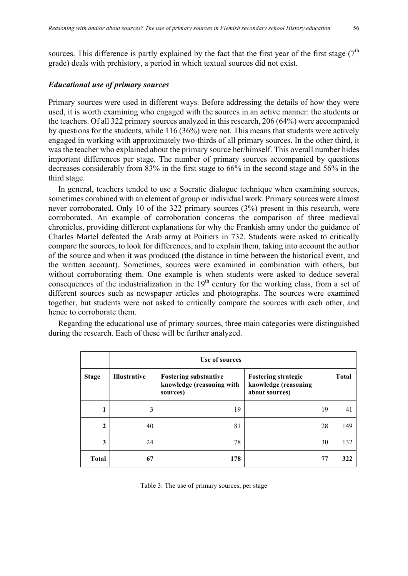sources. This difference is partly explained by the fact that the first year of the first stage  $(7<sup>th</sup>$ grade) deals with prehistory, a period in which textual sources did not exist.

#### *Educational use of primary sources*

Primary sources were used in different ways. Before addressing the details of how they were used, it is worth examining who engaged with the sources in an active manner: the students or the teachers. Of all 322 primary sources analyzed in this research, 206 (64%) were accompanied by questions for the students, while 116 (36%) were not. This means that students were actively engaged in working with approximately two-thirds of all primary sources. In the other third, it was the teacher who explained about the primary source her/himself. This overall number hides important differences per stage. The number of primary sources accompanied by questions decreases considerably from 83% in the first stage to 66% in the second stage and 56% in the third stage.

In general, teachers tended to use a Socratic dialogue technique when examining sources, sometimes combined with an element of group or individual work. Primary sources were almost never corroborated. Only 10 of the 322 primary sources (3%) present in this research, were corroborated. An example of corroboration concerns the comparison of three medieval chronicles, providing different explanations for why the Frankish army under the guidance of Charles Martel defeated the Arab army at Poitiers in 732. Students were asked to critically compare the sources, to look for differences, and to explain them, taking into account the author of the source and when it was produced (the distance in time between the historical event, and the written account). Sometimes, sources were examined in combination with others, but without corroborating them. One example is when students were asked to deduce several consequences of the industrialization in the 19<sup>th</sup> century for the working class, from a set of different sources such as newspaper articles and photographs. The sources were examined together, but students were not asked to critically compare the sources with each other, and hence to corroborate them.

Regarding the educational use of primary sources, three main categories were distinguished during the research. Each of these will be further analyzed.

|                | Use of sources      |                                                                       |                                                                      |              |
|----------------|---------------------|-----------------------------------------------------------------------|----------------------------------------------------------------------|--------------|
| <b>Stage</b>   | <b>Illustrative</b> | <b>Fostering substantive</b><br>knowledge (reasoning with<br>sources) | <b>Fostering strategic</b><br>knowledge (reasoning<br>about sources) | <b>Total</b> |
| 1              | 3                   | 19                                                                    | 19                                                                   | 41           |
| $\overline{2}$ | 40                  | 81                                                                    | 28                                                                   | 149          |
| 3              | 24                  | 78                                                                    | 30                                                                   | 132          |
| <b>Total</b>   | 67                  | 178                                                                   | 77                                                                   | 322          |

Table 3: The use of primary sources, per stage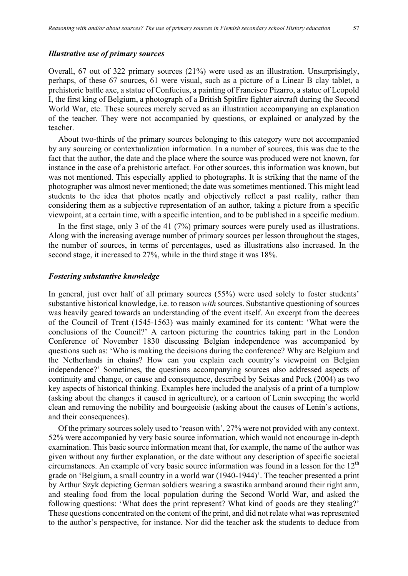#### *Illustrative use of primary sources*

Overall, 67 out of 322 primary sources (21%) were used as an illustration. Unsurprisingly, perhaps, of these 67 sources, 61 were visual, such as a picture of a Linear B clay tablet, a prehistoric battle axe, a statue of Confucius, a painting of Francisco Pizarro, a statue of Leopold I, the first king of Belgium, a photograph of a British Spitfire fighter aircraft during the Second World War, etc. These sources merely served as an illustration accompanying an explanation of the teacher. They were not accompanied by questions, or explained or analyzed by the teacher.

About two-thirds of the primary sources belonging to this category were not accompanied by any sourcing or contextualization information. In a number of sources, this was due to the fact that the author, the date and the place where the source was produced were not known, for instance in the case of a prehistoric artefact. For other sources, this information was known, but was not mentioned. This especially applied to photographs. It is striking that the name of the photographer was almost never mentioned; the date was sometimes mentioned. This might lead students to the idea that photos neatly and objectively reflect a past reality, rather than considering them as a subjective representation of an author, taking a picture from a specific viewpoint, at a certain time, with a specific intention, and to be published in a specific medium.

In the first stage, only 3 of the 41 (7%) primary sources were purely used as illustrations. Along with the increasing average number of primary sources per lesson throughout the stages, the number of sources, in terms of percentages, used as illustrations also increased. In the second stage, it increased to 27%, while in the third stage it was 18%.

#### *Fostering substantive knowledge*

In general, just over half of all primary sources (55%) were used solely to foster students' substantive historical knowledge, i.e. to reason *with* sources. Substantive questioning of sources was heavily geared towards an understanding of the event itself. An excerpt from the decrees of the Council of Trent (1545-1563) was mainly examined for its content: 'What were the conclusions of the Council?' A cartoon picturing the countries taking part in the London Conference of November 1830 discussing Belgian independence was accompanied by questions such as: 'Who is making the decisions during the conference? Why are Belgium and the Netherlands in chains? How can you explain each country's viewpoint on Belgian independence?' Sometimes, the questions accompanying sources also addressed aspects of continuity and change, or cause and consequence, described by Seixas and Peck (2004) as two key aspects of historical thinking. Examples here included the analysis of a print of a turnplow (asking about the changes it caused in agriculture), or a cartoon of Lenin sweeping the world clean and removing the nobility and bourgeoisie (asking about the causes of Lenin's actions, and their consequences).

Of the primary sources solely used to 'reason with', 27% were not provided with any context. 52% were accompanied by very basic source information, which would not encourage in-depth examination. This basic source information meant that, for example, the name of the author was given without any further explanation, or the date without any description of specific societal circumstances. An example of very basic source information was found in a lesson for the  $12<sup>th</sup>$ grade on 'Belgium, a small country in a world war (1940-1944)'. The teacher presented a print by Arthur Szyk depicting German soldiers wearing a swastika armband around their right arm, and stealing food from the local population during the Second World War, and asked the following questions: 'What does the print represent? What kind of goods are they stealing?' These questions concentrated on the content of the print, and did not relate what was represented to the author's perspective, for instance. Nor did the teacher ask the students to deduce from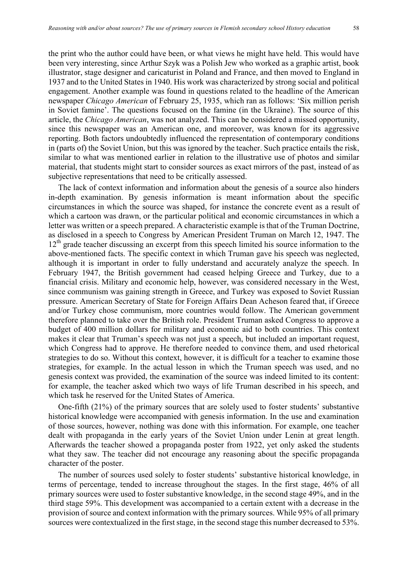the print who the author could have been, or what views he might have held. This would have been very interesting, since Arthur Szyk was a Polish Jew who worked as a graphic artist, book illustrator, stage designer and caricaturist in Poland and France, and then moved to England in 1937 and to the United States in 1940. His work was characterized by strong social and political engagement. Another example was found in questions related to the headline of the American newspaper *Chicago American* of February 25, 1935, which ran as follows: 'Six million perish in Soviet famine'. The questions focused on the famine (in the Ukraine). The source of this article, the *Chicago American*, was not analyzed. This can be considered a missed opportunity, since this newspaper was an American one, and moreover, was known for its aggressive reporting. Both factors undoubtedly influenced the representation of contemporary conditions in (parts of) the Soviet Union, but this was ignored by the teacher. Such practice entails the risk, similar to what was mentioned earlier in relation to the illustrative use of photos and similar material, that students might start to consider sources as exact mirrors of the past, instead of as subjective representations that need to be critically assessed.

The lack of context information and information about the genesis of a source also hinders in-depth examination. By genesis information is meant information about the specific circumstances in which the source was shaped, for instance the concrete event as a result of which a cartoon was drawn, or the particular political and economic circumstances in which a letter was written or a speech prepared. A characteristic example is that of the Truman Doctrine, as disclosed in a speech to Congress by American President Truman on March 12, 1947. The  $12<sup>th</sup>$  grade teacher discussing an excerpt from this speech limited his source information to the above-mentioned facts. The specific context in which Truman gave his speech was neglected, although it is important in order to fully understand and accurately analyze the speech. In February 1947, the British government had ceased helping Greece and Turkey, due to a financial crisis. Military and economic help, however, was considered necessary in the West, since communism was gaining strength in Greece, and Turkey was exposed to Soviet Russian pressure. American Secretary of State for Foreign Affairs Dean Acheson feared that, if Greece and/or Turkey chose communism, more countries would follow. The American government therefore planned to take over the British role. President Truman asked Congress to approve a budget of 400 million dollars for military and economic aid to both countries. This context makes it clear that Truman's speech was not just a speech, but included an important request, which Congress had to approve. He therefore needed to convince them, and used rhetorical strategies to do so. Without this context, however, it is difficult for a teacher to examine those strategies, for example. In the actual lesson in which the Truman speech was used, and no genesis context was provided, the examination of the source was indeed limited to its content: for example, the teacher asked which two ways of life Truman described in his speech, and which task he reserved for the United States of America.

One-fifth (21%) of the primary sources that are solely used to foster students' substantive historical knowledge were accompanied with genesis information. In the use and examination of those sources, however, nothing was done with this information. For example, one teacher dealt with propaganda in the early years of the Soviet Union under Lenin at great length. Afterwards the teacher showed a propaganda poster from 1922, yet only asked the students what they saw. The teacher did not encourage any reasoning about the specific propaganda character of the poster.

The number of sources used solely to foster students' substantive historical knowledge, in terms of percentage, tended to increase throughout the stages. In the first stage, 46% of all primary sources were used to foster substantive knowledge, in the second stage 49%, and in the third stage 59%. This development was accompanied to a certain extent with a decrease in the provision of source and context information with the primary sources. While 95% of all primary sources were contextualized in the first stage, in the second stage this number decreased to 53%.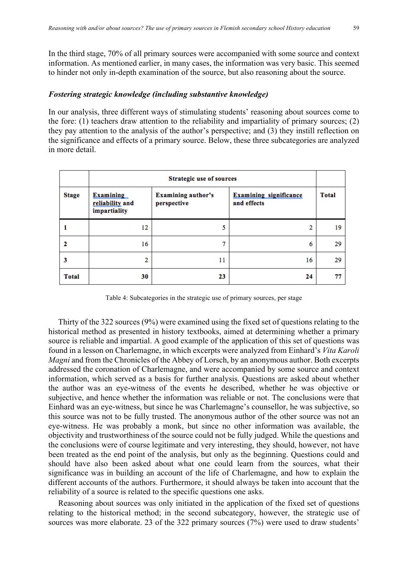In the third stage, 70% of all primary sources were accompanied with some source and context information. As mentioned earlier, in many cases, the information was very basic. This seemed to hinder not only in-depth examination of the source, but also reasoning about the source.

#### *Fostering strategic knowledge (including substantive knowledge)*

In our analysis, three different ways of stimulating students' reasoning about sources come to the fore: (1) teachers draw attention to the reliability and impartiality of primary sources; (2) they pay attention to the analysis of the author's perspective; and (3) they instill reflection on the significance and effects of a primary source. Below, these three subcategories are analyzed in more detail.

|              | <b>Strategic use of sources</b>                     |                                          |                                              |              |
|--------------|-----------------------------------------------------|------------------------------------------|----------------------------------------------|--------------|
| <b>Stage</b> | <b>Examining</b><br>reliability and<br>impartiality | <b>Examining author's</b><br>perspective | <b>Examining significance</b><br>and effects | <b>Total</b> |
| 1            | 12                                                  | 5                                        | 2                                            | 19           |
| 2            | 16                                                  |                                          | 6                                            | 29           |
| 3            | 2                                                   | 11                                       | 16                                           | 29           |
| <b>Total</b> | 30                                                  | 23                                       | 24                                           | 77           |

Table 4: Subcategories in the strategic use of primary sources, per stage

Thirty of the 322 sources (9%) were examined using the fixed set of questions relating to the historical method as presented in history textbooks, aimed at determining whether a primary source is reliable and impartial. A good example of the application of this set of questions was found in a lesson on Charlemagne, in which excerpts were analyzed from Einhard's *Vita Karoli Magni* and from the Chronicles of the Abbey of Lorsch, by an anonymous author. Both excerpts addressed the coronation of Charlemagne, and were accompanied by some source and context information, which served as a basis for further analysis. Questions are asked about whether the author was an eye-witness of the events he described, whether he was objective or subjective, and hence whether the information was reliable or not. The conclusions were that Einhard was an eye-witness, but since he was Charlemagne's counsellor, he was subjective, so this source was not to be fully trusted. The anonymous author of the other source was not an eye-witness. He was probably a monk, but since no other information was available, the objectivity and trustworthiness of the source could not be fully judged. While the questions and the conclusions were of course legitimate and very interesting, they should, however, not have been treated as the end point of the analysis, but only as the beginning. Questions could and should have also been asked about what one could learn from the sources, what their significance was in building an account of the life of Charlemagne, and how to explain the different accounts of the authors. Furthermore, it should always be taken into account that the reliability of a source is related to the specific questions one asks.

Reasoning about sources was only initiated in the application of the fixed set of questions relating to the historical method; in the second subcategory, however, the strategic use of sources was more elaborate. 23 of the 322 primary sources (7%) were used to draw students'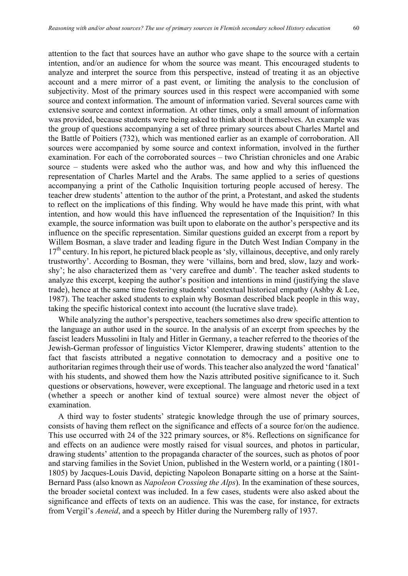attention to the fact that sources have an author who gave shape to the source with a certain intention, and/or an audience for whom the source was meant. This encouraged students to analyze and interpret the source from this perspective, instead of treating it as an objective account and a mere mirror of a past event, or limiting the analysis to the conclusion of subjectivity. Most of the primary sources used in this respect were accompanied with some source and context information. The amount of information varied. Several sources came with extensive source and context information. At other times, only a small amount of information was provided, because students were being asked to think about it themselves. An example was the group of questions accompanying a set of three primary sources about Charles Martel and the Battle of Poitiers (732), which was mentioned earlier as an example of corroboration. All sources were accompanied by some source and context information, involved in the further examination. For each of the corroborated sources – two Christian chronicles and one Arabic source – students were asked who the author was, and how and why this influenced the representation of Charles Martel and the Arabs. The same applied to a series of questions accompanying a print of the Catholic Inquisition torturing people accused of heresy. The teacher drew students' attention to the author of the print, a Protestant, and asked the students to reflect on the implications of this finding. Why would he have made this print, with what intention, and how would this have influenced the representation of the Inquisition? In this example, the source information was built upon to elaborate on the author's perspective and its influence on the specific representation. Similar questions guided an excerpt from a report by Willem Bosman, a slave trader and leading figure in the Dutch West Indian Company in the  $17<sup>th</sup>$  century. In his report, he pictured black people as 'sly, villainous, deceptive, and only rarely trustworthy'. According to Bosman, they were 'villains, born and bred, slow, lazy and workshy'; he also characterized them as 'very carefree and dumb'. The teacher asked students to analyze this excerpt, keeping the author's position and intentions in mind (justifying the slave trade), hence at the same time fostering students' contextual historical empathy (Ashby & Lee, 1987). The teacher asked students to explain why Bosman described black people in this way, taking the specific historical context into account (the lucrative slave trade).

While analyzing the author's perspective, teachers sometimes also drew specific attention to the language an author used in the source. In the analysis of an excerpt from speeches by the fascist leaders Mussolini in Italy and Hitler in Germany, a teacher referred to the theories of the Jewish-German professor of linguistics Victor Klemperer, drawing students' attention to the fact that fascists attributed a negative connotation to democracy and a positive one to authoritarian regimes through their use of words. This teacher also analyzed the word 'fanatical' with his students, and showed them how the Nazis attributed positive significance to it. Such questions or observations, however, were exceptional. The language and rhetoric used in a text (whether a speech or another kind of textual source) were almost never the object of examination.

A third way to foster students' strategic knowledge through the use of primary sources, consists of having them reflect on the significance and effects of a source for/on the audience. This use occurred with 24 of the 322 primary sources, or 8%. Reflections on significance for and effects on an audience were mostly raised for visual sources, and photos in particular, drawing students' attention to the propaganda character of the sources, such as photos of poor and starving families in the Soviet Union, published in the Western world, or a painting (1801- 1805) by Jacques-Louis David, depicting Napoleon Bonaparte sitting on a horse at the Saint-Bernard Pass (also known as *Napoleon Crossing the Alps*). In the examination of these sources, the broader societal context was included. In a few cases, students were also asked about the significance and effects of texts on an audience. This was the case, for instance, for extracts from Vergil's *Aeneid*, and a speech by Hitler during the Nuremberg rally of 1937.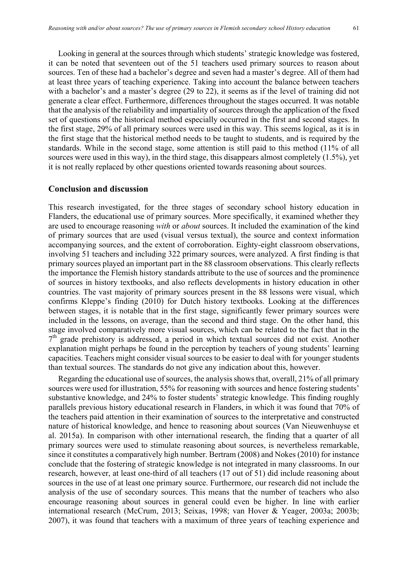Looking in general at the sources through which students' strategic knowledge was fostered, it can be noted that seventeen out of the 51 teachers used primary sources to reason about sources. Ten of these had a bachelor's degree and seven had a master's degree. All of them had at least three years of teaching experience. Taking into account the balance between teachers with a bachelor's and a master's degree (29 to 22), it seems as if the level of training did not generate a clear effect. Furthermore, differences throughout the stages occurred. It was notable that the analysis of the reliability and impartiality of sources through the application of the fixed set of questions of the historical method especially occurred in the first and second stages. In the first stage, 29% of all primary sources were used in this way. This seems logical, as it is in the first stage that the historical method needs to be taught to students, and is required by the standards. While in the second stage, some attention is still paid to this method (11% of all sources were used in this way), in the third stage, this disappears almost completely (1.5%), yet it is not really replaced by other questions oriented towards reasoning about sources.

#### **Conclusion and discussion**

This research investigated, for the three stages of secondary school history education in Flanders, the educational use of primary sources. More specifically, it examined whether they are used to encourage reasoning *with* or *about* sources. It included the examination of the kind of primary sources that are used (visual versus textual), the source and context information accompanying sources, and the extent of corroboration. Eighty-eight classroom observations, involving 51 teachers and including 322 primary sources, were analyzed. A first finding is that primary sources played an important part in the 88 classroom observations. This clearly reflects the importance the Flemish history standards attribute to the use of sources and the prominence of sources in history textbooks, and also reflects developments in history education in other countries. The vast majority of primary sources present in the 88 lessons were visual, which confirms Kleppe's finding (2010) for Dutch history textbooks. Looking at the differences between stages, it is notable that in the first stage, significantly fewer primary sources were included in the lessons, on average, than the second and third stage. On the other hand, this stage involved comparatively more visual sources, which can be related to the fact that in the  $7<sup>th</sup>$  grade prehistory is addressed, a period in which textual sources did not exist. Another explanation might perhaps be found in the perception by teachers of young students' learning capacities. Teachers might consider visual sources to be easier to deal with for younger students than textual sources. The standards do not give any indication about this, however.

Regarding the educational use of sources, the analysis shows that, overall, 21% of all primary sources were used for illustration, 55% for reasoning with sources and hence fostering students' substantive knowledge, and 24% to foster students' strategic knowledge. This finding roughly parallels previous history educational research in Flanders, in which it was found that 70% of the teachers paid attention in their examination of sources to the interpretative and constructed nature of historical knowledge, and hence to reasoning about sources (Van Nieuwenhuyse et al. 2015a). In comparison with other international research, the finding that a quarter of all primary sources were used to stimulate reasoning about sources, is nevertheless remarkable, since it constitutes a comparatively high number. Bertram (2008) and Nokes (2010) for instance conclude that the fostering of strategic knowledge is not integrated in many classrooms. In our research, however, at least one-third of all teachers (17 out of 51) did include reasoning about sources in the use of at least one primary source. Furthermore, our research did not include the analysis of the use of secondary sources. This means that the number of teachers who also encourage reasoning about sources in general could even be higher. In line with earlier international research (McCrum, 2013; Seixas, 1998; van Hover & Yeager, 2003a; 2003b; 2007), it was found that teachers with a maximum of three years of teaching experience and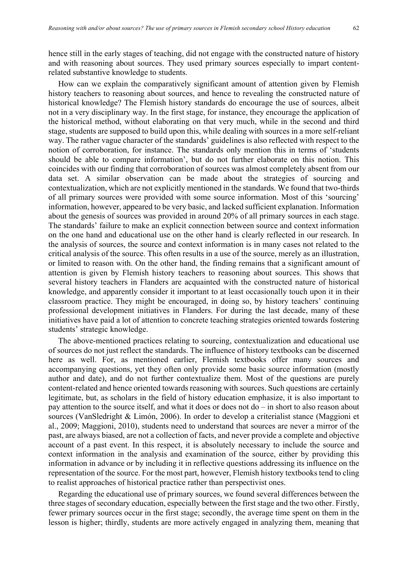hence still in the early stages of teaching, did not engage with the constructed nature of history and with reasoning about sources. They used primary sources especially to impart contentrelated substantive knowledge to students.

How can we explain the comparatively significant amount of attention given by Flemish history teachers to reasoning about sources, and hence to revealing the constructed nature of historical knowledge? The Flemish history standards do encourage the use of sources, albeit not in a very disciplinary way. In the first stage, for instance, they encourage the application of the historical method, without elaborating on that very much, while in the second and third stage, students are supposed to build upon this, while dealing with sources in a more self-reliant way. The rather vague character of the standards' guidelines is also reflected with respect to the notion of corroboration, for instance. The standards only mention this in terms of 'students should be able to compare information', but do not further elaborate on this notion. This coincides with our finding that corroboration of sources was almost completely absent from our data set. A similar observation can be made about the strategies of sourcing and contextualization, which are not explicitly mentioned in the standards. We found that two-thirds of all primary sources were provided with some source information. Most of this 'sourcing' information, however, appeared to be very basic, and lacked sufficient explanation. Information about the genesis of sources was provided in around 20% of all primary sources in each stage. The standards' failure to make an explicit connection between source and context information on the one hand and educational use on the other hand is clearly reflected in our research. In the analysis of sources, the source and context information is in many cases not related to the critical analysis of the source. This often results in a use of the source, merely as an illustration, or limited to reason with. On the other hand, the finding remains that a significant amount of attention is given by Flemish history teachers to reasoning about sources. This shows that several history teachers in Flanders are acquainted with the constructed nature of historical knowledge, and apparently consider it important to at least occasionally touch upon it in their classroom practice. They might be encouraged, in doing so, by history teachers' continuing professional development initiatives in Flanders. For during the last decade, many of these initiatives have paid a lot of attention to concrete teaching strategies oriented towards fostering students' strategic knowledge.

The above-mentioned practices relating to sourcing, contextualization and educational use of sources do not just reflect the standards. The influence of history textbooks can be discerned here as well. For, as mentioned earlier, Flemish textbooks offer many sources and accompanying questions, yet they often only provide some basic source information (mostly author and date), and do not further contextualize them. Most of the questions are purely content-related and hence oriented towards reasoning with sources. Such questions are certainly legitimate, but, as scholars in the field of history education emphasize, it is also important to pay attention to the source itself, and what it does or does not do – in short to also reason about sources (VanSledright & Limón, 2006). In order to develop a criterialist stance (Maggioni et al., 2009; Maggioni, 2010), students need to understand that sources are never a mirror of the past, are always biased, are not a collection of facts, and never provide a complete and objective account of a past event. In this respect, it is absolutely necessary to include the source and context information in the analysis and examination of the source, either by providing this information in advance or by including it in reflective questions addressing its influence on the representation of the source. For the most part, however, Flemish history textbooks tend to cling to realist approaches of historical practice rather than perspectivist ones.

Regarding the educational use of primary sources, we found several differences between the three stages of secondary education, especially between the first stage and the two other. Firstly, fewer primary sources occur in the first stage; secondly, the average time spent on them in the lesson is higher; thirdly, students are more actively engaged in analyzing them, meaning that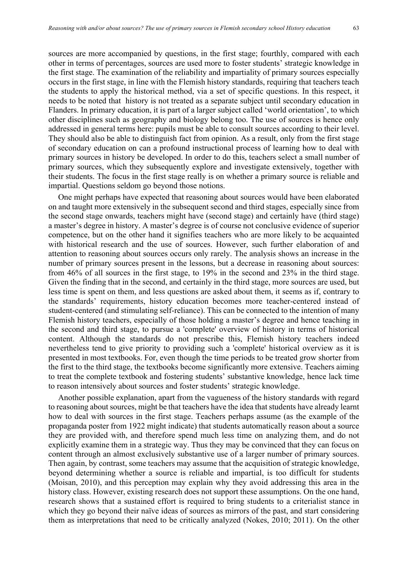sources are more accompanied by questions, in the first stage; fourthly, compared with each other in terms of percentages, sources are used more to foster students' strategic knowledge in the first stage. The examination of the reliability and impartiality of primary sources especially occurs in the first stage, in line with the Flemish history standards, requiring that teachers teach the students to apply the historical method, via a set of specific questions. In this respect, it needs to be noted that history is not treated as a separate subject until secondary education in Flanders. In primary education, it is part of a larger subject called 'world orientation', to which other disciplines such as geography and biology belong too. The use of sources is hence only addressed in general terms here: pupils must be able to consult sources according to their level. They should also be able to distinguish fact from opinion. As a result, only from the first stage of secondary education on can a profound instructional process of learning how to deal with primary sources in history be developed. In order to do this, teachers select a small number of primary sources, which they subsequently explore and investigate extensively, together with their students. The focus in the first stage really is on whether a primary source is reliable and impartial. Questions seldom go beyond those notions.

One might perhaps have expected that reasoning about sources would have been elaborated on and taught more extensively in the subsequent second and third stages, especially since from the second stage onwards, teachers might have (second stage) and certainly have (third stage) a master's degree in history. A master's degree is of course not conclusive evidence of superior competence, but on the other hand it signifies teachers who are more likely to be acquainted with historical research and the use of sources. However, such further elaboration of and attention to reasoning about sources occurs only rarely. The analysis shows an increase in the number of primary sources present in the lessons, but a decrease in reasoning about sources: from 46% of all sources in the first stage, to 19% in the second and 23% in the third stage. Given the finding that in the second, and certainly in the third stage, more sources are used, but less time is spent on them, and less questions are asked about them, it seems as if, contrary to the standards' requirements, history education becomes more teacher-centered instead of student-centered (and stimulating self-reliance). This can be connected to the intention of many Flemish history teachers, especially of those holding a master's degree and hence teaching in the second and third stage, to pursue a 'complete' overview of history in terms of historical content. Although the standards do not prescribe this, Flemish history teachers indeed nevertheless tend to give priority to providing such a 'complete' historical overview as it is presented in most textbooks. For, even though the time periods to be treated grow shorter from the first to the third stage, the textbooks become significantly more extensive. Teachers aiming to treat the complete textbook and fostering students' substantive knowledge, hence lack time to reason intensively about sources and foster students' strategic knowledge.

Another possible explanation, apart from the vagueness of the history standards with regard to reasoning about sources, might be that teachers have the idea that students have already learnt how to deal with sources in the first stage. Teachers perhaps assume (as the example of the propaganda poster from 1922 might indicate) that students automatically reason about a source they are provided with, and therefore spend much less time on analyzing them, and do not explicitly examine them in a strategic way. Thus they may be convinced that they can focus on content through an almost exclusively substantive use of a larger number of primary sources. Then again, by contrast, some teachers may assume that the acquisition of strategic knowledge, beyond determining whether a source is reliable and impartial, is too difficult for students (Moisan, 2010), and this perception may explain why they avoid addressing this area in the history class. However, existing research does not support these assumptions. On the one hand, research shows that a sustained effort is required to bring students to a criterialist stance in which they go beyond their naïve ideas of sources as mirrors of the past, and start considering them as interpretations that need to be critically analyzed (Nokes, 2010; 2011). On the other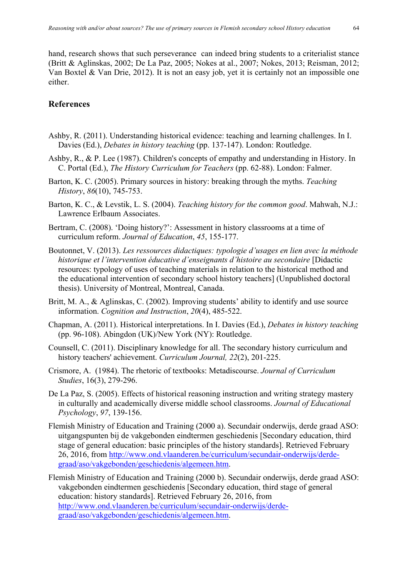hand, research shows that such perseverance can indeed bring students to a criterialist stance (Britt & Aglinskas, 2002; De La Paz, 2005; Nokes at al., 2007; Nokes, 2013; Reisman, 2012; Van Boxtel & Van Drie, 2012). It is not an easy job, yet it is certainly not an impossible one either.

## **References**

- Ashby, R. (2011). Understanding historical evidence: teaching and learning challenges. In I. Davies (Ed.), *Debates in history teaching* (pp. 137-147). London: Routledge.
- Ashby, R., & P. Lee (1987). Children's concepts of empathy and understanding in History. In C. Portal (Ed.), *The History Curriculum for Teachers* (pp. 62-88). London: Falmer.
- Barton, K. C. (2005). Primary sources in history: breaking through the myths. *Teaching History*, *86*(10), 745-753.
- Barton, K. C., & Levstik, L. S. (2004). *Teaching history for the common good*. Mahwah, N.J.: Lawrence Erlbaum Associates.
- Bertram, C. (2008). 'Doing history?': Assessment in history classrooms at a time of curriculum reform. *Journal of Education*, *45*, 155-177.
- Boutonnet, V. (2013). *Les ressources didactiques: typologie d'usages en lien avec la méthode historique et l'intervention éducative d'enseignants d'histoire au secondaire* [Didactic resources: typology of uses of teaching materials in relation to the historical method and the educational intervention of secondary school history teachers] (Unpublished doctoral thesis). University of Montreal, Montreal, Canada.
- Britt, M. A., & Aglinskas, C. (2002). Improving students' ability to identify and use source information. *Cognition and Instruction*, *20*(4), 485-522.
- Chapman, A. (2011). Historical interpretations. In I. Davies (Ed.), *Debates in history teaching* (pp. 96-108). Abingdon (UK)/New York (NY): Routledge.
- Counsell, C. (2011). Disciplinary knowledge for all. The secondary history curriculum and history teachers' achievement. *Curriculum Journal, 22*(2), 201-225.
- Crismore, A. (1984). The rhetoric of textbooks: Metadiscourse. *Journal of Curriculum Studies*, 16(3), 279-296.
- De La Paz, S. (2005). Effects of historical reasoning instruction and writing strategy mastery in culturally and academically diverse middle school classrooms. *Journal of Educational Psychology*, *97*, 139-156.
- Flemish Ministry of Education and Training (2000 a). Secundair onderwijs, derde graad ASO: uitgangspunten bij de vakgebonden eindtermen geschiedenis [Secondary education, third stage of general education: basic principles of the history standards]. Retrieved February 26, 2016, from http://www.ond.vlaanderen.be/curriculum/secundair-onderwijs/derdegraad/aso/vakgebonden/geschiedenis/algemeen.htm.
- Flemish Ministry of Education and Training (2000 b). Secundair onderwijs, derde graad ASO: vakgebonden eindtermen geschiedenis [Secondary education, third stage of general education: history standards]. Retrieved February 26, 2016, from http://www.ond.vlaanderen.be/curriculum/secundair-onderwijs/derdegraad/aso/vakgebonden/geschiedenis/algemeen.htm.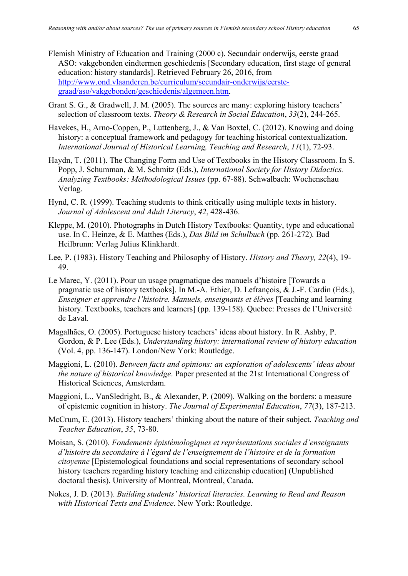- Flemish Ministry of Education and Training (2000 c). Secundair onderwijs, eerste graad ASO: vakgebonden eindtermen geschiedenis [Secondary education, first stage of general education: history standards]. Retrieved February 26, 2016, from http://www.ond.vlaanderen.be/curriculum/secundair-onderwijs/eerstegraad/aso/vakgebonden/geschiedenis/algemeen.htm.
- Grant S. G., & Gradwell, J. M. (2005). The sources are many: exploring history teachers' selection of classroom texts. *Theory & Research in Social Education*, *33*(2), 244-265.
- Havekes, H., Arno-Coppen, P., Luttenberg, J., & Van Boxtel, C. (2012). Knowing and doing history: a conceptual framework and pedagogy for teaching historical contextualization. *International Journal of Historical Learning, Teaching and Research*, *11*(1), 72-93.
- Haydn, T. (2011). The Changing Form and Use of Textbooks in the History Classroom. In S. Popp, J. Schumman, & M. Schmitz (Eds.), *International Society for History Didactics. Analyzing Textbooks: Methodological Issues* (pp. 67-88). Schwalbach: Wochenschau Verlag.
- Hynd, C. R. (1999). Teaching students to think critically using multiple texts in history. *Journal of Adolescent and Adult Literacy*, *42*, 428-436.
- Kleppe, M. (2010). Photographs in Dutch History Textbooks: Quantity, type and educational use. In C. Heinze, & E. Matthes (Eds.), *Das Bild im Schulbuch* (pp. 261-272)*.* Bad Heilbrunn: Verlag Julius Klinkhardt.
- Lee, P. (1983). History Teaching and Philosophy of History. *History and Theory, 22*(4), 19- 49.
- Le Marec, Y. (2011). Pour un usage pragmatique des manuels d'histoire [Towards a pragmatic use of history textbooks]. In M.-A. Ethier, D. Lefrançois, & J.-F. Cardin (Eds.), *Enseigner et apprendre l'histoire. Manuels, enseignants et élèves* [Teaching and learning history. Textbooks, teachers and learners] (pp. 139-158). Quebec: Presses de l'Université de Laval.
- Magalhães, O. (2005). Portuguese history teachers' ideas about history. In R. Ashby, P. Gordon, & P. Lee (Eds.), *Understanding history: international review of history education*  (Vol. 4, pp. 136-147). London/New York: Routledge.
- Maggioni, L. (2010). *Between facts and opinions: an exploration of adolescents' ideas about the nature of historical knowledge*. Paper presented at the 21st International Congress of Historical Sciences, Amsterdam.
- Maggioni, L., VanSledright, B., & Alexander, P. (2009). Walking on the borders: a measure of epistemic cognition in history. *The Journal of Experimental Education*, *77*(3), 187-213.
- McCrum, E. (2013). History teachers' thinking about the nature of their subject. *Teaching and Teacher Education*, *35*, 73-80.
- Moisan, S. (2010). *Fondements épistémologiques et représentations sociales d'enseignants d'histoire du secondaire à l'égard de l'enseignement de l'histoire et de la formation citoyenne* [Epistemological foundations and social representations of secondary school history teachers regarding history teaching and citizenship education] (Unpublished doctoral thesis). University of Montreal, Montreal, Canada.
- Nokes, J. D. (2013). *Building students' historical literacies. Learning to Read and Reason with Historical Texts and Evidence*. New York: Routledge.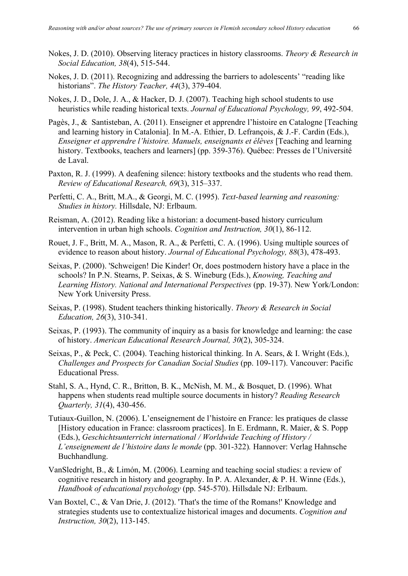- Nokes, J. D. (2010). Observing literacy practices in history classrooms. *Theory & Research in Social Education, 38*(4), 515-544.
- Nokes, J. D. (2011). Recognizing and addressing the barriers to adolescents' "reading like historians". *The History Teacher, 44*(3), 379-404.
- Nokes, J. D., Dole, J. A., & Hacker, D. J. (2007). Teaching high school students to use heuristics while reading historical texts. *Journal of Educational Psychology, 99*, 492-504.
- Pagès, J., & Santisteban, A. (2011). Enseigner et apprendre l'histoire en Catalogne [Teaching and learning history in Catalonia]. In M.-A. Ethier, D. Lefrançois, & J.-F. Cardin (Eds.), *Enseigner et apprendre l'histoire. Manuels, enseignants et élèves* [Teaching and learning history. Textbooks, teachers and learners] (pp. 359-376). Québec: Presses de l'Université de Laval.
- Paxton, R. J. (1999). A deafening silence: history textbooks and the students who read them. *Review of Educational Research, 69*(3), 315–337.
- Perfetti, C. A., Britt, M.A., & Georgi, M. C. (1995). *Text-based learning and reasoning: Studies in history.* Hillsdale, NJ: Erlbaum.
- Reisman, A. (2012). Reading like a historian: a document-based history curriculum intervention in urban high schools. *Cognition and Instruction, 30*(1), 86-112.
- Rouet, J. F., Britt, M. A., Mason, R. A., & Perfetti, C. A. (1996). Using multiple sources of evidence to reason about history. *Journal of Educational Psychology, 88*(3), 478-493.
- Seixas, P. (2000). 'Schweigen! Die Kinder! Or, does postmodern history have a place in the schools? In P.N. Stearns, P. Seixas, & S. Wineburg (Eds.), *Knowing, Teaching and Learning History. National and International Perspectives* (pp. 19-37). New York/London: New York University Press.
- Seixas, P. (1998). Student teachers thinking historically. *Theory & Research in Social Education, 26*(3), 310-341.
- Seixas, P. (1993). The community of inquiry as a basis for knowledge and learning: the case of history. *American Educational Research Journal, 30*(2), 305-324.
- Seixas, P., & Peck, C. (2004). Teaching historical thinking. In A. Sears, & I. Wright (Eds.), *Challenges and Prospects for Canadian Social Studies* (pp. 109-117). Vancouver: Pacific Educational Press.
- Stahl, S. A., Hynd, C. R., Britton, B. K., McNish, M. M., & Bosquet, D. (1996). What happens when students read multiple source documents in history? *Reading Research Quarterly, 31*(4), 430-456.
- Tutiaux-Guillon, N. (2006). L'enseignement de l'histoire en France: les pratiques de classe [History education in France: classroom practices]. In E. Erdmann, R. Maier, & S. Popp (Eds.), *Geschichtsunterricht international / Worldwide Teaching of History / L'enseignement de l'histoire dans le monde* (pp. 301-322)*.* Hannover: Verlag Hahnsche Buchhandlung.
- VanSledright, B., & Limón, M. (2006). Learning and teaching social studies: a review of cognitive research in history and geography. In P. A. Alexander, & P. H. Winne (Eds.), *Handbook of educational psychology* (pp. 545-570). Hillsdale NJ: Erlbaum.
- Van Boxtel, C., & Van Drie, J. (2012). 'That's the time of the Romans!' Knowledge and strategies students use to contextualize historical images and documents. *Cognition and Instruction, 30*(2), 113-145.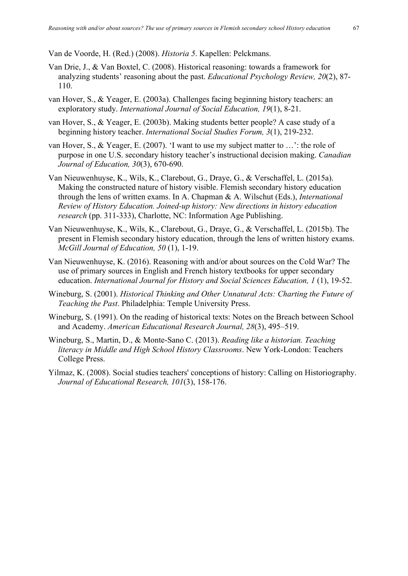Van de Voorde, H. (Red.) (2008). *Historia 5*. Kapellen: Pelckmans.

- Van Drie, J., & Van Boxtel, C. (2008). Historical reasoning: towards a framework for analyzing students' reasoning about the past. *Educational Psychology Review, 20*(2), 87- 110.
- van Hover, S., & Yeager, E. (2003a). Challenges facing beginning history teachers: an exploratory study. *International Journal of Social Education, 19*(1), 8-21.
- van Hover, S., & Yeager, E. (2003b). Making students better people? A case study of a beginning history teacher. *International Social Studies Forum, 3*(1), 219-232.
- van Hover, S., & Yeager, E. (2007). 'I want to use my subject matter to …': the role of purpose in one U.S. secondary history teacher's instructional decision making. *Canadian Journal of Education, 30*(3), 670-690.
- Van Nieuwenhuyse, K., Wils, K., Clarebout, G., Draye, G., & Verschaffel, L. (2015a). Making the constructed nature of history visible. Flemish secondary history education through the lens of written exams. In A. Chapman & A. Wilschut (Eds.), *International Review of History Education. Joined-up history: New directions in history education research* (pp. 311-333), Charlotte, NC: Information Age Publishing.
- Van Nieuwenhuyse, K., Wils, K., Clarebout, G., Draye, G., & Verschaffel, L. (2015b). The present in Flemish secondary history education, through the lens of written history exams. *McGill Journal of Education, 50* (1), 1-19.
- Van Nieuwenhuyse, K. (2016). Reasoning with and/or about sources on the Cold War? The use of primary sources in English and French history textbooks for upper secondary education. *International Journal for History and Social Sciences Education, 1* (1), 19-52.
- Wineburg, S. (2001). *Historical Thinking and Other Unnatural Acts: Charting the Future of Teaching the Past*. Philadelphia: Temple University Press.
- Wineburg, S. (1991). On the reading of historical texts: Notes on the Breach between School and Academy. *American Educational Research Journal, 28*(3), 495–519.
- Wineburg, S., Martin, D., & Monte-Sano C. (2013). *Reading like a historian. Teaching literacy in Middle and High School History Classrooms*. New York-London: Teachers College Press.
- Yilmaz, K. (2008). Social studies teachers' conceptions of history: Calling on Historiography. *Journal of Educational Research, 101*(3), 158-176.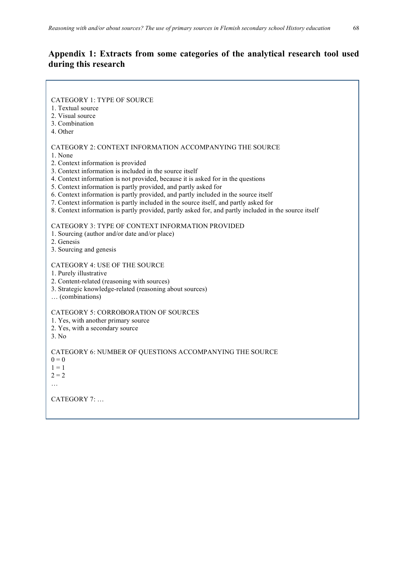# **Appendix 1: Extracts from some categories of the analytical research tool used during this research**

| <b>CATEGORY 1: TYPE OF SOURCE</b>                                                                                                                                                                                                                                                                                                                                                                                                                                                                                                                                                                                  |
|--------------------------------------------------------------------------------------------------------------------------------------------------------------------------------------------------------------------------------------------------------------------------------------------------------------------------------------------------------------------------------------------------------------------------------------------------------------------------------------------------------------------------------------------------------------------------------------------------------------------|
| 1. Textual source<br>2. Visual source                                                                                                                                                                                                                                                                                                                                                                                                                                                                                                                                                                              |
| 3. Combination                                                                                                                                                                                                                                                                                                                                                                                                                                                                                                                                                                                                     |
| 4. Other                                                                                                                                                                                                                                                                                                                                                                                                                                                                                                                                                                                                           |
|                                                                                                                                                                                                                                                                                                                                                                                                                                                                                                                                                                                                                    |
| CATEGORY 2: CONTEXT INFORMATION ACCOMPANYING THE SOURCE<br>1. None<br>2. Context information is provided<br>3. Context information is included in the source itself<br>4. Context information is not provided, because it is asked for in the questions<br>5. Context information is partly provided, and partly asked for<br>6. Context information is partly provided, and partly included in the source itself<br>7. Context information is partly included in the source itself, and partly asked for<br>8. Context information is partly provided, partly asked for, and partly included in the source itself |
| CATEGORY 3: TYPE OF CONTEXT INFORMATION PROVIDED<br>1. Sourcing (author and/or date and/or place)<br>2. Genesis<br>3. Sourcing and genesis                                                                                                                                                                                                                                                                                                                                                                                                                                                                         |
| <b>CATEGORY 4: USE OF THE SOURCE</b><br>1. Purely illustrative<br>2. Content-related (reasoning with sources)<br>3. Strategic knowledge-related (reasoning about sources)<br>(combinations)                                                                                                                                                                                                                                                                                                                                                                                                                        |
| <b>CATEGORY 5: CORROBORATION OF SOURCES</b><br>1. Yes, with another primary source<br>2. Yes, with a secondary source<br>3. No                                                                                                                                                                                                                                                                                                                                                                                                                                                                                     |
| CATEGORY 6: NUMBER OF QUESTIONS ACCOMPANYING THE SOURCE<br>$0 = 0$<br>$1 = 1$<br>$2 = 2$<br>$\cdots$                                                                                                                                                                                                                                                                                                                                                                                                                                                                                                               |

CATEGORY 7: …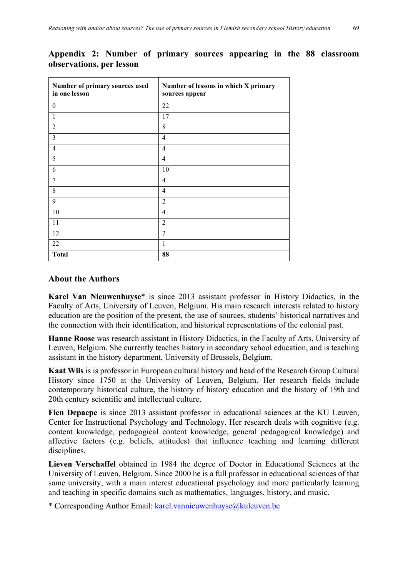| Number of primary sources used<br>in one lesson | Number of lessons in which X primary<br>sources appear |
|-------------------------------------------------|--------------------------------------------------------|
| $\mathbf{0}$                                    | 22                                                     |
| 1                                               | 17                                                     |
| $\overline{2}$                                  | 8                                                      |
| 3                                               | $\overline{4}$                                         |
| $\overline{4}$                                  | $\overline{4}$                                         |
| 5                                               | $\overline{4}$                                         |
| 6                                               | 10                                                     |
| 7                                               | $\overline{4}$                                         |
| 8                                               | 4                                                      |
| 9                                               | $\overline{2}$                                         |
| 10                                              | $\overline{4}$                                         |
| 11                                              | $\overline{2}$                                         |
| 12                                              | $\overline{2}$                                         |
| 22                                              | 1                                                      |
| <b>Total</b>                                    | 88                                                     |

# **Appendix 2: Number of primary sources appearing in the 88 classroom observations, per lesson**

# **About the Authors**

**Karel Van Nieuwenhuyse**\* is since 2013 assistant professor in History Didactics, in the Faculty of Arts, University of Leuven, Belgium. His main research interests related to history education are the position of the present, the use of sources, students' historical narratives and the connection with their identification, and historical representations of the colonial past.

**Hanne Roose** was research assistant in History Didactics, in the Faculty of Arts, University of Leuven, Belgium. She currently teaches history in secondary school education, and is teaching assistant in the history department, University of Brussels, Belgium.

**Kaat Wils** is is professor in European cultural history and head of the Research Group Cultural History since 1750 at the University of Leuven, Belgium. Her research fields include contemporary historical culture, the history of history education and the history of 19th and 20th century scientific and intellectual culture.

**Fien Depaepe** is since 2013 assistant professor in educational sciences at the KU Leuven, Center for Instructional Psychology and Technology. Her research deals with cognitive (e.g. content knowledge, pedagogical content knowledge, general pedagogical knowledge) and affective factors (e.g. beliefs, attitudes) that influence teaching and learning different disciplines.

**Lieven Verschaffel** obtained in 1984 the degree of Doctor in Educational Sciences at the University of Leuven, Belgium. Since 2000 he is a full professor in educational sciences of that same university, with a main interest educational psychology and more particularly learning and teaching in specific domains such as mathematics, languages, history, and music.

\* Corresponding Author Email: karel.vannieuwenhuyse@kuleuven.be